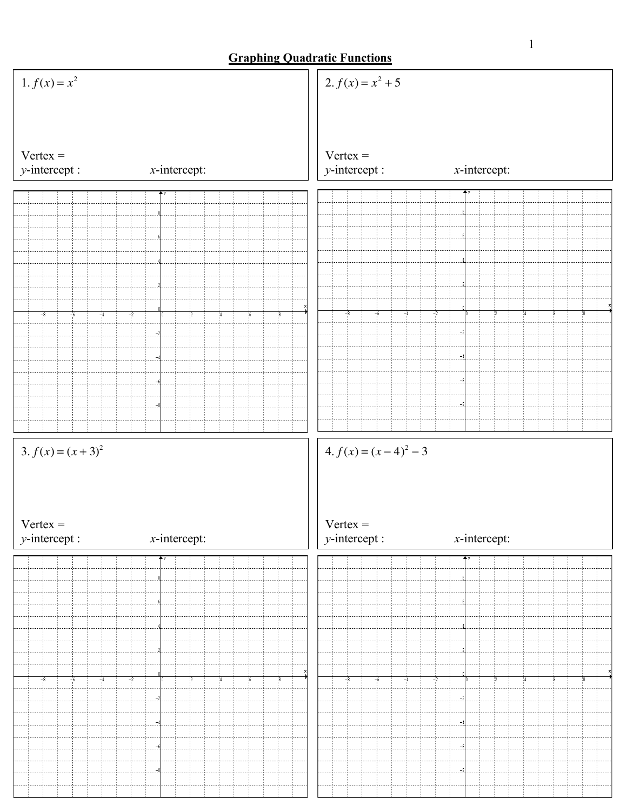## **Graphing Quadratic Functions**

| 1. $f(x) = x^2$                                                            | 2. $f(x) = x^2 + 5$                                       |                 |  |
|----------------------------------------------------------------------------|-----------------------------------------------------------|-----------------|--|
| $Vertex =$<br>$y$ -intercept :<br>$x$ -intercept:                          | $Vertex =$<br>$y$ -intercept :                            | $x$ -intercept: |  |
|                                                                            |                                                           |                 |  |
|                                                                            |                                                           |                 |  |
|                                                                            |                                                           |                 |  |
|                                                                            |                                                           |                 |  |
|                                                                            |                                                           |                 |  |
| $-8$<br>$-4$<br>$-2$                                                       | $-4$<br>-8<br>-6                                          | $-2$            |  |
|                                                                            |                                                           |                 |  |
|                                                                            |                                                           |                 |  |
|                                                                            |                                                           |                 |  |
|                                                                            |                                                           |                 |  |
|                                                                            |                                                           |                 |  |
| 3. $f(x) = (x + 3)^2$<br>$Vertex =$<br>$x$ -intercept:<br>$y$ -intercept : | $4. f(x) = (x-4)^2 - 3$<br>$Vertex =$<br>$y$ -intercept : | $x$ -intercept: |  |
| ╇У                                                                         |                                                           |                 |  |
|                                                                            |                                                           |                 |  |
|                                                                            |                                                           |                 |  |
|                                                                            |                                                           |                 |  |
|                                                                            |                                                           |                 |  |
| $-8$<br>$-4$<br>$-2$<br>-6                                                 | $-6$<br>$-4$                                              | $-2$            |  |
|                                                                            |                                                           |                 |  |
|                                                                            |                                                           |                 |  |
|                                                                            |                                                           |                 |  |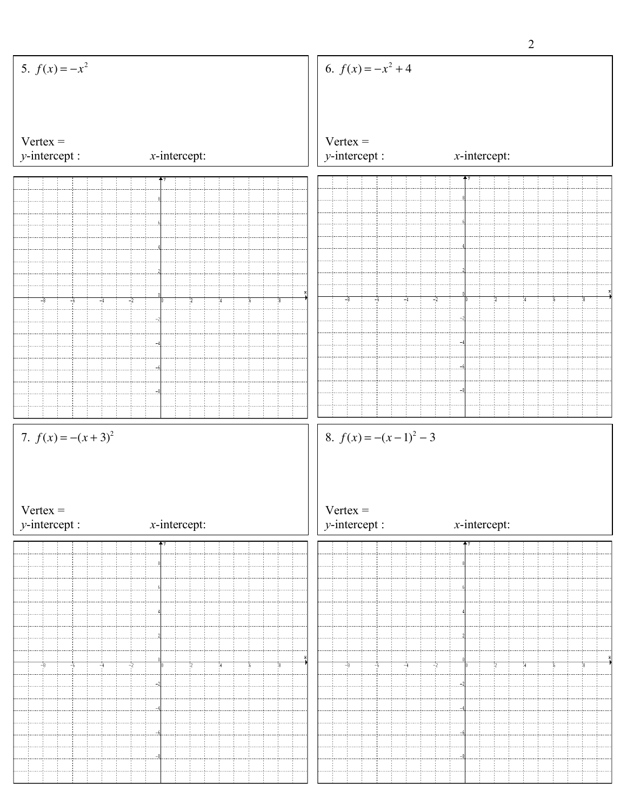|                                    |                 |                                        | $\overline{2}$  |
|------------------------------------|-----------------|----------------------------------------|-----------------|
| 5. $f(x) = -x^2$                   |                 | 6. $f(x) = -x^2 + 4$                   |                 |
| $Vertex =$<br>$y$ -intercept :     | $x$ -intercept: | $Vertex =$<br>$y$ -intercept :         | $x$ -intercept: |
|                                    |                 |                                        |                 |
|                                    |                 |                                        |                 |
|                                    |                 |                                        |                 |
| $-6$<br>$-4$<br>$-2$<br>$-8$       | $\frac{1}{2}$   | -8<br>$-6$<br>$-2$<br>$-4$             | 14              |
|                                    |                 |                                        |                 |
|                                    |                 |                                        |                 |
|                                    |                 |                                        |                 |
| 7. $f(x) = -(x+3)^2$<br>$Vertex =$ |                 | 8. $f(x) = -(x-1)^2 - 3$<br>$Vertex =$ |                 |
| $y$ -intercept :                   | $x$ -intercept: | $y$ -intercept :                       | $x$ -intercept: |
|                                    |                 |                                        |                 |
|                                    |                 |                                        |                 |
| $-6$<br>$-2$<br>$-8$<br>-4         | 22              | -8<br>$-6$<br>$-2$<br>$-4$             |                 |
|                                    |                 |                                        |                 |
|                                    |                 |                                        |                 |
|                                    |                 |                                        |                 |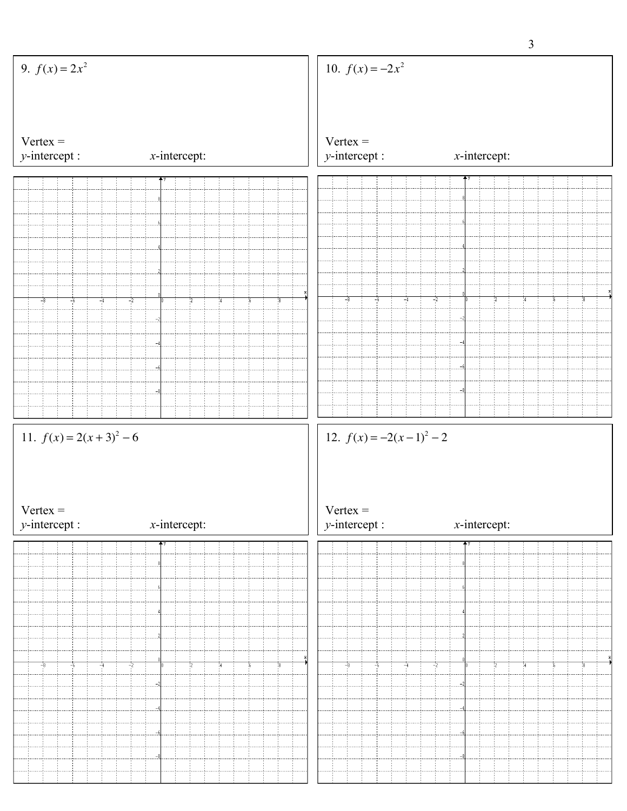|                                |                 |                                | $\overline{3}$  |
|--------------------------------|-----------------|--------------------------------|-----------------|
| 9. $f(x) = 2x^2$               |                 | 10. $f(x) = -2x^2$             |                 |
|                                |                 |                                |                 |
| $Vertex =$<br>$y$ -intercept : | $x$ -intercept: | $Vertex =$<br>$y$ -intercept : | $x$ -intercept: |
|                                |                 |                                |                 |
|                                |                 |                                |                 |
|                                |                 |                                |                 |
|                                |                 |                                |                 |
|                                |                 |                                |                 |
|                                |                 | $-6$<br>$-2$<br>$-8$<br>$-4$   |                 |
| $-8$<br>$-6$<br>$-4$<br>$-2$   | $\frac{1}{2}$   |                                |                 |
|                                |                 |                                |                 |
|                                |                 |                                |                 |
|                                |                 |                                |                 |
|                                |                 |                                |                 |
| 11. $f(x) = 2(x+3)^2 - 6$      |                 | 12. $f(x) = -2(x-1)^2 - 2$     |                 |
|                                |                 |                                |                 |
|                                |                 |                                |                 |
|                                |                 |                                |                 |
|                                |                 |                                |                 |
| $Vertex =$<br>$y$ -intercept : | $x$ -intercept: | $Vertex =$<br>$y$ -intercept : | $x$ -intercept: |
|                                |                 |                                |                 |
|                                |                 |                                |                 |
|                                |                 |                                |                 |
|                                |                 |                                |                 |
|                                |                 |                                |                 |
| $-2$<br>$-8$<br>$-4$<br>-6     |                 | $-8$<br>$-6$<br>$-4$<br>$-2$   |                 |
|                                |                 |                                |                 |
|                                |                 |                                |                 |
|                                |                 |                                |                 |
|                                |                 |                                |                 |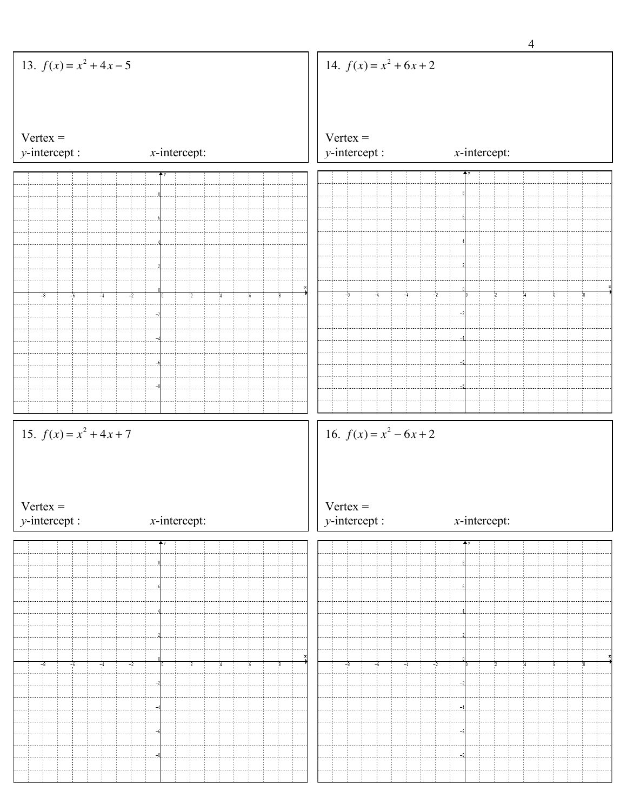|                                |                 | $\overline{4}$                                    |
|--------------------------------|-----------------|---------------------------------------------------|
| 13. $f(x) = x^2 + 4x - 5$      |                 | 14. $f(x) = x^2 + 6x + 2$                         |
|                                |                 |                                                   |
| $Vertex =$<br>$y$ -intercept : | $x$ -intercept: | $Vertex =$<br>$y$ -intercept :<br>$x$ -intercept: |
|                                |                 | 个人                                                |
|                                |                 |                                                   |
|                                |                 |                                                   |
|                                |                 |                                                   |
|                                |                 |                                                   |
|                                |                 |                                                   |
|                                |                 |                                                   |
| -8<br>$-6$                     | $-2$            | $-8$<br>$-4$<br>$-2$<br>$-6$<br>16<br>14          |
|                                |                 |                                                   |
|                                |                 |                                                   |
|                                |                 |                                                   |
|                                |                 |                                                   |
|                                |                 |                                                   |
|                                |                 |                                                   |
|                                |                 |                                                   |
|                                |                 |                                                   |
| 15. $f(x) = x^2 + 4x + 7$      |                 | 16. $f(x) = x^2 - 6x + 2$                         |
|                                |                 |                                                   |
|                                |                 |                                                   |
|                                |                 |                                                   |
| $Vertex =$                     |                 | $Vertex =$                                        |
| $y$ -intercept :               | $x$ -intercept: | $y$ -intercept :<br>$x$ -intercept:<br>个          |
|                                |                 |                                                   |
|                                |                 |                                                   |
|                                |                 |                                                   |
|                                |                 |                                                   |
|                                |                 |                                                   |
|                                |                 |                                                   |
| -8<br>-6                       | -2              | $-2$<br>$-8$<br>-6<br>$-4$                        |
|                                |                 |                                                   |
|                                |                 |                                                   |
|                                |                 |                                                   |
|                                |                 |                                                   |
|                                |                 |                                                   |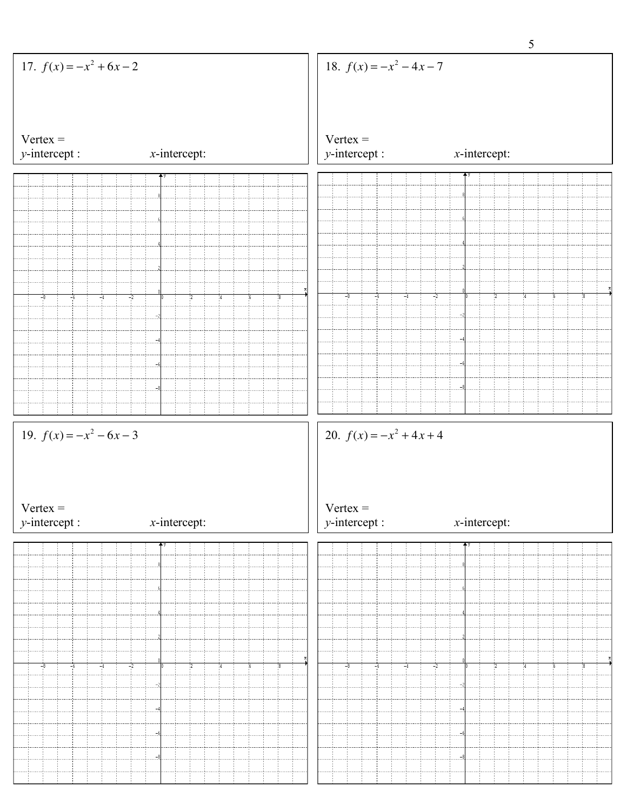|                                |                 |                                | 5                     |
|--------------------------------|-----------------|--------------------------------|-----------------------|
| 17. $f(x) = -x^2 + 6x - 2$     |                 | 18. $f(x) = -x^2 - 4x - 7$     |                       |
|                                |                 |                                |                       |
| $Vertex =$<br>$y$ -intercept : | $x$ -intercept: | $Vertex =$<br>$y$ -intercept : | $x$ -intercept:       |
|                                |                 |                                |                       |
|                                |                 |                                |                       |
|                                |                 |                                |                       |
|                                |                 |                                |                       |
|                                |                 |                                |                       |
|                                |                 |                                |                       |
|                                |                 |                                |                       |
| -2                             |                 | $-2$<br>$-8$<br>-6<br>$-4$     |                       |
|                                |                 |                                |                       |
|                                |                 |                                |                       |
|                                |                 |                                |                       |
|                                |                 |                                |                       |
|                                |                 |                                |                       |
|                                |                 |                                |                       |
|                                |                 |                                |                       |
| 19. $f(x) = -x^2 - 6x - 3$     |                 | 20. $f(x) = -x^2 + 4x + 4$     |                       |
|                                |                 |                                |                       |
|                                |                 |                                |                       |
|                                |                 |                                |                       |
| $Vertex =$                     |                 | $Vertex =$                     |                       |
| $y$ -intercept :               | $x$ -intercept: | $y$ -intercept :               | $x$ -intercept:<br>个义 |
|                                |                 |                                |                       |
|                                |                 |                                |                       |
|                                |                 |                                |                       |
|                                |                 |                                |                       |
|                                |                 |                                |                       |
|                                |                 |                                |                       |
| -2                             |                 | $-2$                           |                       |
|                                |                 |                                |                       |
|                                |                 |                                |                       |
|                                |                 |                                |                       |
|                                |                 |                                |                       |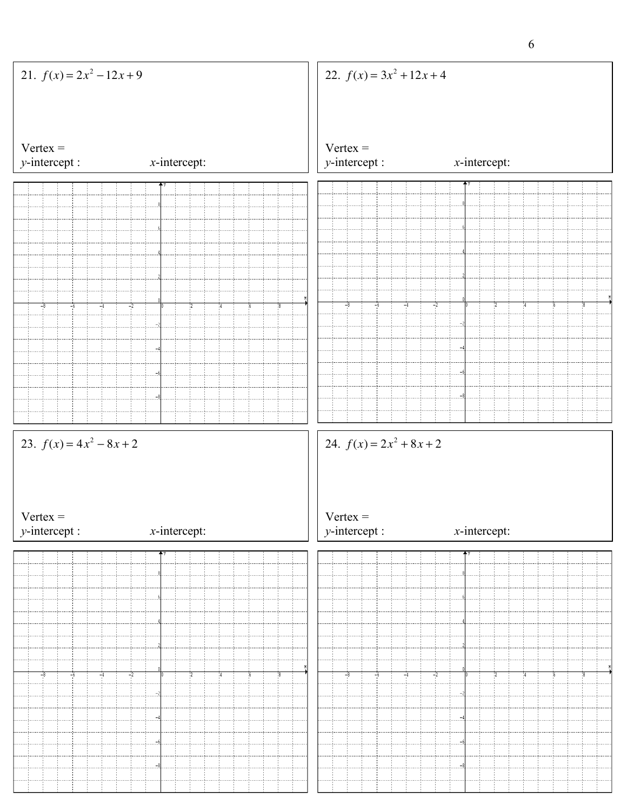|                                                              |                            | 6                                                                               |
|--------------------------------------------------------------|----------------------------|---------------------------------------------------------------------------------|
| 21. $f(x) = 2x^2 - 12x + 9$                                  |                            | 22. $f(x) = 3x^2 + 12x + 4$                                                     |
| $Vertex =$<br>$y$ -intercept :                               | $x$ -intercept:            | $Vertex =$<br>$y$ -intercept :<br>$x$ -intercept:                               |
|                                                              | ΫΥ                         | $+$ y                                                                           |
|                                                              |                            |                                                                                 |
|                                                              |                            |                                                                                 |
|                                                              |                            |                                                                                 |
|                                                              |                            |                                                                                 |
|                                                              |                            |                                                                                 |
|                                                              |                            |                                                                                 |
| $-8$<br>$-4$<br>$-6$                                         | $-2$<br>$\frac{1}{2}$      | $-4$<br>$-2$<br>$-8$<br>$-6$<br>$4^{\circ}$<br>16                               |
|                                                              |                            |                                                                                 |
|                                                              |                            |                                                                                 |
|                                                              |                            |                                                                                 |
|                                                              |                            |                                                                                 |
|                                                              |                            |                                                                                 |
|                                                              |                            |                                                                                 |
| 23. $f(x) = 4x^2 - 8x + 2$<br>$Vertex =$<br>$y$ -intercept : | $x$ -intercept:            | 24. $f(x) = 2x^2 + 8x + 2$<br>$Vertex =$<br>$y$ -intercept :<br>$x$ -intercept: |
|                                                              |                            |                                                                                 |
|                                                              |                            |                                                                                 |
|                                                              |                            |                                                                                 |
|                                                              |                            |                                                                                 |
|                                                              |                            |                                                                                 |
|                                                              |                            |                                                                                 |
|                                                              |                            |                                                                                 |
|                                                              |                            |                                                                                 |
| $-8$<br>$-4$<br>$-6$                                         | x<br>$-2$<br>$\frac{1}{2}$ | $-2$<br>$-8$<br>$-6$<br>$-4$<br>14<br>16                                        |
|                                                              |                            |                                                                                 |
|                                                              |                            |                                                                                 |
|                                                              |                            |                                                                                 |
|                                                              |                            |                                                                                 |
|                                                              |                            |                                                                                 |
|                                                              |                            |                                                                                 |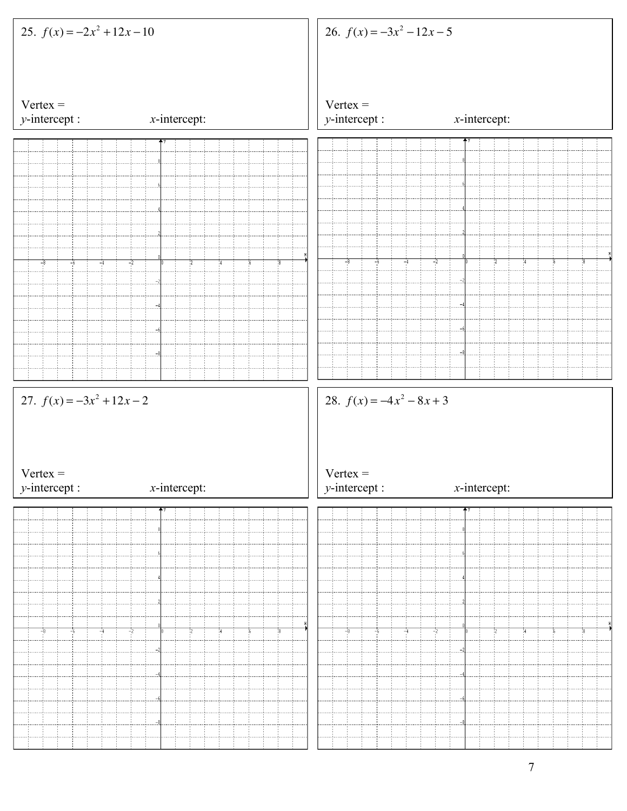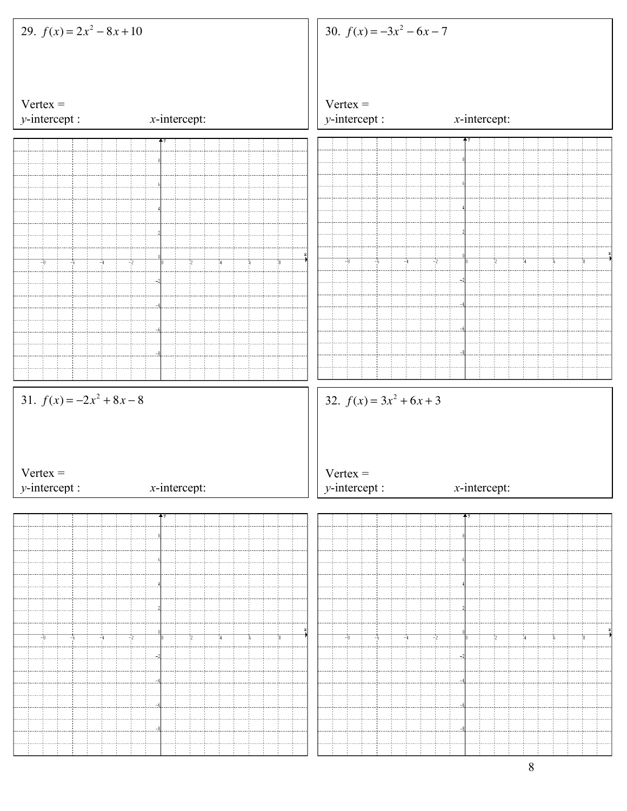